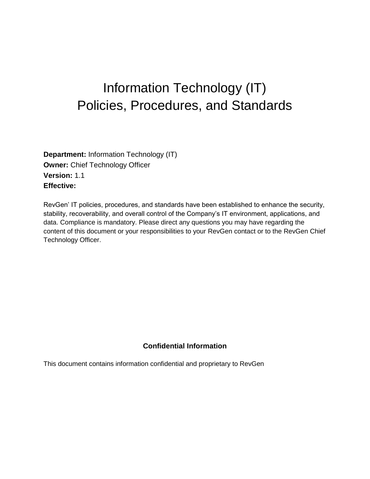# Information Technology (IT) Policies, Procedures, and Standards

**Department:** Information Technology (IT) **Owner: Chief Technology Officer Version:** 1.1 **Effective:**

RevGen' IT policies, procedures, and standards have been established to enhance the security, stability, recoverability, and overall control of the Company's IT environment, applications, and data. Compliance is mandatory. Please direct any questions you may have regarding the content of this document or your responsibilities to your RevGen contact or to the RevGen Chief Technology Officer.

# **Confidential Information**

This document contains information confidential and proprietary to RevGen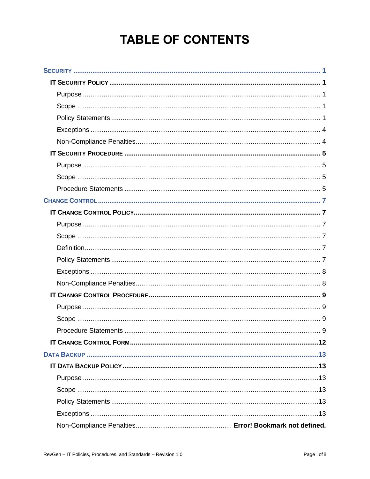# **TABLE OF CONTENTS**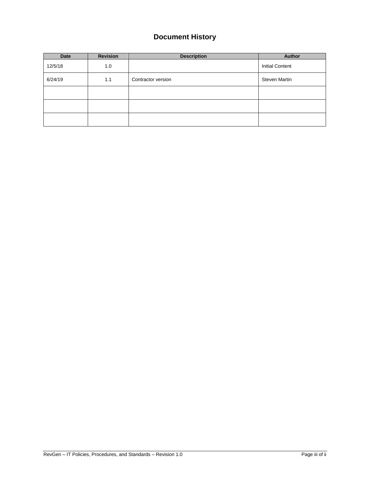# **Document History**

| Date    | <b>Revision</b> | <b>Description</b> | Author                 |  |
|---------|-----------------|--------------------|------------------------|--|
| 12/5/18 | 1.0             |                    | <b>Initial Content</b> |  |
| 6/24/19 | 1.1             | Contractor version | <b>Steven Martin</b>   |  |
|         |                 |                    |                        |  |
|         |                 |                    |                        |  |
|         |                 |                    |                        |  |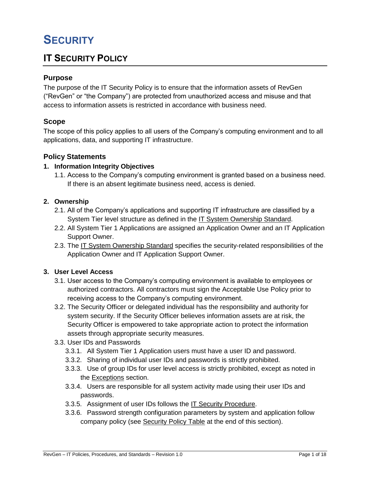# **SECURITY**

# **IT SECURITY POLICY**

# **Purpose**

The purpose of the IT Security Policy is to ensure that the information assets of RevGen ("RevGen" or "the Company") are protected from unauthorized access and misuse and that access to information assets is restricted in accordance with business need.

## **Scope**

The scope of this policy applies to all users of the Company's computing environment and to all applications, data, and supporting IT infrastructure.

# **Policy Statements**

## **1. Information Integrity Objectives**

1.1. Access to the Company's computing environment is granted based on a business need. If there is an absent legitimate business need, access is denied.

## **2. Ownership**

- 2.1. All of the Company's applications and supporting IT infrastructure are classified by a System Tier level structure as defined in the IT System Ownership Standard.
- 2.2. All System Tier 1 Applications are assigned an Application Owner and an IT Application Support Owner.
- 2.3. The IT System Ownership Standard specifies the security-related responsibilities of the Application Owner and IT Application Support Owner.

## **3. User Level Access**

- 3.1. User access to the Company's computing environment is available to employees or authorized contractors. All contractors must sign the Acceptable Use Policy prior to receiving access to the Company's computing environment.
- 3.2. The Security Officer or delegated individual has the responsibility and authority for system security. If the Security Officer believes information assets are at risk, the Security Officer is empowered to take appropriate action to protect the information assets through appropriate security measures.
- 3.3. User IDs and Passwords
	- 3.3.1. All System Tier 1 Application users must have a user ID and password.
	- 3.3.2. Sharing of individual user IDs and passwords is strictly prohibited.
	- 3.3.3. Use of group IDs for user level access is strictly prohibited, except as noted in the Exceptions section.
	- 3.3.4. Users are responsible for all system activity made using their user IDs and passwords.
	- 3.3.5. Assignment of user IDs follows the IT Security Procedure.
	- 3.3.6. Password strength configuration parameters by system and application follow company policy (see Security Policy Table at the end of this section).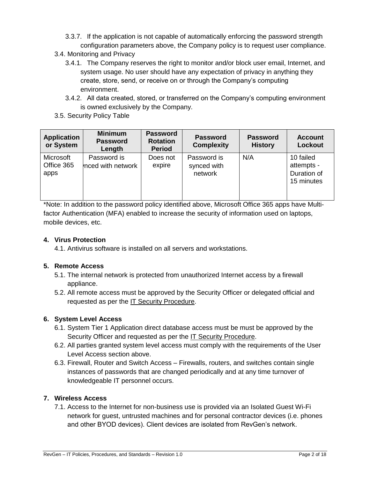- 3.3.7. If the application is not capable of automatically enforcing the password strength configuration parameters above, the Company policy is to request user compliance.
- 3.4. Monitoring and Privacy
	- 3.4.1. The Company reserves the right to monitor and/or block user email, Internet, and system usage. No user should have any expectation of privacy in anything they create, store, send, or receive on or through the Company's computing environment.
	- 3.4.2. All data created, stored, or transferred on the Company's computing environment is owned exclusively by the Company.
- 3.5. Security Policy Table

| <b>Application</b><br>or System | <b>Minimum</b><br><b>Password</b><br>Length | <b>Password</b><br><b>Rotation</b><br><b>Period</b> | <b>Password</b><br><b>Complexity</b>  | <b>Password</b><br><b>History</b> | <b>Account</b><br>Lockout                            |
|---------------------------------|---------------------------------------------|-----------------------------------------------------|---------------------------------------|-----------------------------------|------------------------------------------------------|
| Microsoft<br>Office 365<br>apps | Password is<br>nced with network            | Does not<br>expire                                  | Password is<br>synced with<br>network | N/A                               | 10 failed<br>attempts -<br>Duration of<br>15 minutes |

\*Note: In addition to the password policy identified above, Microsoft Office 365 apps have Multifactor Authentication (MFA) enabled to increase the security of information used on laptops, mobile devices, etc.

## **4. Virus Protection**

4.1. Antivirus software is installed on all servers and workstations.

## **5. Remote Access**

- 5.1. The internal network is protected from unauthorized Internet access by a firewall appliance.
- 5.2. All remote access must be approved by the Security Officer or delegated official and requested as per the IT Security Procedure.

# **6. System Level Access**

- 6.1. System Tier 1 Application direct database access must be must be approved by the Security Officer and requested as per the IT Security Procedure.
- 6.2. All parties granted system level access must comply with the requirements of the User Level Access section above.
- 6.3. Firewall, Router and Switch Access Firewalls, routers, and switches contain single instances of passwords that are changed periodically and at any time turnover of knowledgeable IT personnel occurs.

## **7. Wireless Access**

7.1. Access to the Internet for non-business use is provided via an Isolated Guest Wi-Fi network for guest, untrusted machines and for personal contractor devices (i.e. phones and other BYOD devices). Client devices are isolated from RevGen's network.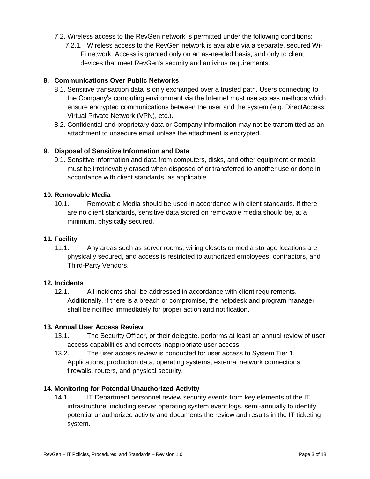- 7.2. Wireless access to the RevGen network is permitted under the following conditions:
	- 7.2.1. Wireless access to the RevGen network is available via a separate, secured Wi-Fi network. Access is granted only on an as-needed basis, and only to client devices that meet RevGen's security and antivirus requirements.

## **8. Communications Over Public Networks**

- 8.1. Sensitive transaction data is only exchanged over a trusted path. Users connecting to the Company's computing environment via the Internet must use access methods which ensure encrypted communications between the user and the system (e.g. DirectAccess, Virtual Private Network (VPN), etc.).
- 8.2. Confidential and proprietary data or Company information may not be transmitted as an attachment to unsecure email unless the attachment is encrypted.

## **9. Disposal of Sensitive Information and Data**

9.1. Sensitive information and data from computers, disks, and other equipment or media must be irretrievably erased when disposed of or transferred to another use or done in accordance with client standards, as applicable.

## **10. Removable Media**

10.1. Removable Media should be used in accordance with client standards. If there are no client standards, sensitive data stored on removable media should be, at a minimum, physically secured.

#### **11. Facility**

11.1. Any areas such as server rooms, wiring closets or media storage locations are physically secured, and access is restricted to authorized employees, contractors, and Third-Party Vendors.

## **12. Incidents**

12.1. All incidents shall be addressed in accordance with client requirements. Additionally, if there is a breach or compromise, the helpdesk and program manager shall be notified immediately for proper action and notification.

## **13. Annual User Access Review**

- 13.1. The Security Officer, or their delegate, performs at least an annual review of user access capabilities and corrects inappropriate user access.
- 13.2. The user access review is conducted for user access to System Tier 1 Applications, production data, operating systems, external network connections, firewalls, routers, and physical security.

## **14. Monitoring for Potential Unauthorized Activity**

14.1. IT Department personnel review security events from key elements of the IT infrastructure, including server operating system event logs, semi-annually to identify potential unauthorized activity and documents the review and results in the IT ticketing system.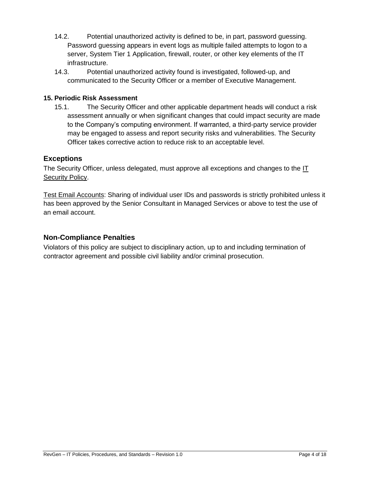- 14.2. Potential unauthorized activity is defined to be, in part, password guessing. Password guessing appears in event logs as multiple failed attempts to logon to a server, System Tier 1 Application, firewall, router, or other key elements of the IT infrastructure.
- 14.3. Potential unauthorized activity found is investigated, followed-up, and communicated to the Security Officer or a member of Executive Management.

# **15. Periodic Risk Assessment**

15.1. The Security Officer and other applicable department heads will conduct a risk assessment annually or when significant changes that could impact security are made to the Company's computing environment. If warranted, a third-party service provider may be engaged to assess and report security risks and vulnerabilities. The Security Officer takes corrective action to reduce risk to an acceptable level.

# **Exceptions**

The Security Officer, unless delegated, must approve all exceptions and changes to the IT Security Policy.

Test Email Accounts: Sharing of individual user IDs and passwords is strictly prohibited unless it has been approved by the Senior Consultant in Managed Services or above to test the use of an email account.

# **Non-Compliance Penalties**

Violators of this policy are subject to disciplinary action, up to and including termination of contractor agreement and possible civil liability and/or criminal prosecution.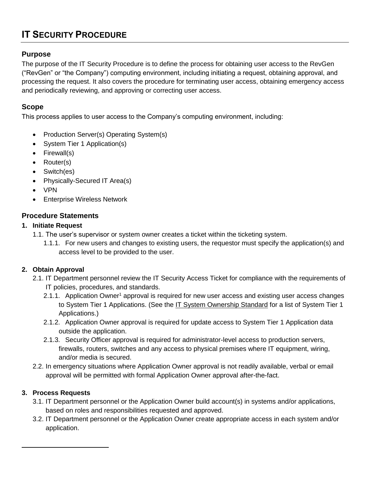# **IT SECURITY PROCEDURE**

# **Purpose**

The purpose of the IT Security Procedure is to define the process for obtaining user access to the RevGen ("RevGen" or "the Company") computing environment, including initiating a request, obtaining approval, and processing the request. It also covers the procedure for terminating user access, obtaining emergency access and periodically reviewing, and approving or correcting user access.

# **Scope**

This process applies to user access to the Company's computing environment, including:

- Production Server(s) Operating System(s)
- System Tier 1 Application(s)
- Firewall(s)
- Router(s)
- Switch(es)
- Physically-Secured IT Area(s)
- VPN
- **Enterprise Wireless Network**

# **Procedure Statements**

# **1. Initiate Request**

- 1.1. The user's supervisor or system owner creates a ticket within the ticketing system.
	- 1.1.1. For new users and changes to existing users, the requestor must specify the application(s) and access level to be provided to the user.

# **2. Obtain Approval**

- 2.1. IT Department personnel review the IT Security Access Ticket for compliance with the requirements of IT policies, procedures, and standards.
	- 2.1.1. Application Owner<sup>1</sup> approval is required for new user access and existing user access changes to System Tier 1 Applications. (See the [IT System Ownership Standard](#page-16-0) for a list of System Tier 1 Applications.)
	- 2.1.2. Application Owner approval is required for update access to System Tier 1 Application data outside the application.
	- 2.1.3. Security Officer approval is required for administrator-level access to production servers, firewalls, routers, switches and any access to physical premises where IT equipment, wiring, and/or media is secured.
- 2.2. In emergency situations where Application Owner approval is not readily available, verbal or email approval will be permitted with formal Application Owner approval after-the-fact.

# **3. Process Requests**

 $\overline{a}$ 

- 3.1. IT Department personnel or the Application Owner build account(s) in systems and/or applications, based on roles and responsibilities requested and approved.
- 3.2. IT Department personnel or the Application Owner create appropriate access in each system and/or application.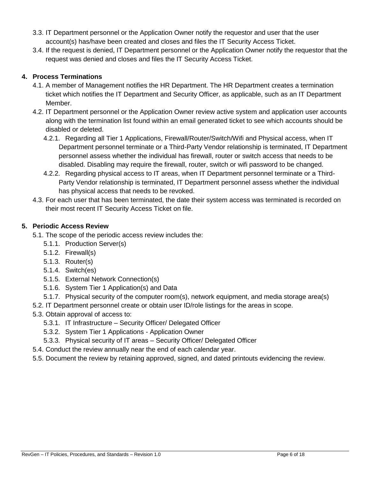- 3.3. IT Department personnel or the Application Owner notify the requestor and user that the user account(s) has/have been created and closes and files the IT Security Access Ticket.
- 3.4. If the request is denied, IT Department personnel or the Application Owner notify the requestor that the request was denied and closes and files the IT Security Access Ticket.

# **4. Process Terminations**

- 4.1. A member of Management notifies the HR Department. The HR Department creates a termination ticket which notifies the IT Department and Security Officer, as applicable, such as an IT Department Member.
- 4.2. IT Department personnel or the Application Owner review active system and application user accounts along with the termination list found within an email generated ticket to see which accounts should be disabled or deleted.
	- 4.2.1. Regarding all Tier 1 Applications, Firewall/Router/Switch/Wifi and Physical access, when IT Department personnel terminate or a Third-Party Vendor relationship is terminated, IT Department personnel assess whether the individual has firewall, router or switch access that needs to be disabled. Disabling may require the firewall, router, switch or wifi password to be changed.
	- 4.2.2. Regarding physical access to IT areas, when IT Department personnel terminate or a Third-Party Vendor relationship is terminated, IT Department personnel assess whether the individual has physical access that needs to be revoked.
- 4.3. For each user that has been terminated, the date their system access was terminated is recorded on their most recent IT Security Access Ticket on file.

# **5. Periodic Access Review**

5.1. The scope of the periodic access review includes the:

- 5.1.1. Production Server(s)
- 5.1.2. Firewall(s)
- 5.1.3. Router(s)
- 5.1.4. Switch(es)
- 5.1.5. External Network Connection(s)
- 5.1.6. System Tier 1 Application(s) and Data
- 5.1.7. Physical security of the computer room(s), network equipment, and media storage area(s)
- 5.2. IT Department personnel create or obtain user ID/role listings for the areas in scope.
- 5.3. Obtain approval of access to:
	- 5.3.1. IT Infrastructure Security Officer/ Delegated Officer
	- 5.3.2. System Tier 1 Applications Application Owner
	- 5.3.3. Physical security of IT areas Security Officer/ Delegated Officer
- 5.4. Conduct the review annually near the end of each calendar year.
- 5.5. Document the review by retaining approved, signed, and dated printouts evidencing the review.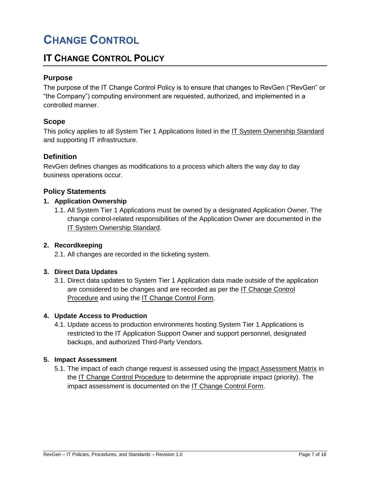# **CHANGE CONTROL**

# **IT CHANGE CONTROL POLICY**

# **Purpose**

The purpose of the IT Change Control Policy is to ensure that changes to RevGen ("RevGen" or "the Company") computing environment are requested, authorized, and implemented in a controlled manner.

# **Scope**

This policy applies to all System Tier 1 Applications listed in the IT System Ownership Standard and supporting IT infrastructure.

# **Definition**

RevGen defines changes as modifications to a process which alters the way day to day business operations occur.

# **Policy Statements**

## **1. Application Ownership**

1.1. All System Tier 1 Applications must be owned by a designated Application Owner. The change control-related responsibilities of the Application Owner are documented in the IT System Ownership Standard.

## **2. Recordkeeping**

2.1. All changes are recorded in the ticketing system.

## **3. Direct Data Updates**

3.1. Direct data updates to System Tier 1 Application data made outside of the application are considered to be changes and are recorded as per the IT Change Control Procedure and using the IT Change Control Form.

## **4. Update Access to Production**

4.1. Update access to production environments hosting System Tier 1 Applications is restricted to the IT Application Support Owner and support personnel, designated backups, and authorized Third-Party Vendors.

## **5. Impact Assessment**

5.1. The impact of each change request is assessed using the Impact Assessment Matrix in the IT Change Control Procedure to determine the appropriate impact (priority). The impact assessment is documented on the IT Change Control Form.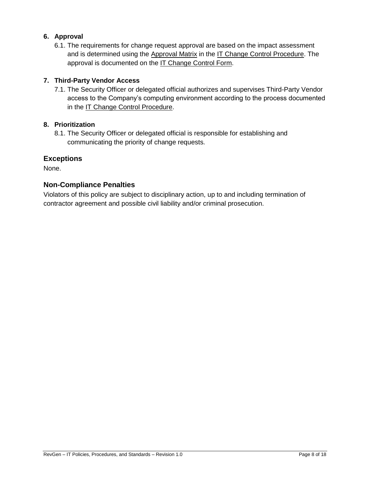# **6. Approval**

6.1. The requirements for change request approval are based on the impact assessment and is determined using the Approval Matrix in the IT Change Control Procedure. The approval is documented on the IT Change Control Form.

# **7. Third-Party Vendor Access**

7.1. The Security Officer or delegated official authorizes and supervises Third-Party Vendor access to the Company's computing environment according to the process documented in the IT Change Control Procedure.

# **8. Prioritization**

8.1. The Security Officer or delegated official is responsible for establishing and communicating the priority of change requests.

# **Exceptions**

None.

# **Non-Compliance Penalties**

Violators of this policy are subject to disciplinary action, up to and including termination of contractor agreement and possible civil liability and/or criminal prosecution.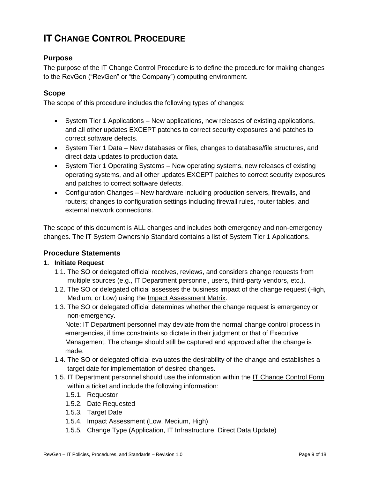# **Purpose**

The purpose of the IT Change Control Procedure is to define the procedure for making changes to the RevGen ("RevGen" or "the Company") computing environment.

# **Scope**

The scope of this procedure includes the following types of changes:

- System Tier 1 Applications New applications, new releases of existing applications, and all other updates EXCEPT patches to correct security exposures and patches to correct software defects.
- System Tier 1 Data New databases or files, changes to database/file structures, and direct data updates to production data.
- System Tier 1 Operating Systems New operating systems, new releases of existing operating systems, and all other updates EXCEPT patches to correct security exposures and patches to correct software defects.
- Configuration Changes New hardware including production servers, firewalls, and routers; changes to configuration settings including firewall rules, router tables, and external network connections.

The scope of this document is ALL changes and includes both emergency and non-emergency changes. The IT System Ownership Standard contains a list of System Tier 1 Applications.

# **Procedure Statements**

# **1. Initiate Request**

- 1.1. The SO or delegated official receives, reviews, and considers change requests from multiple sources (e.g., IT Department personnel, users, third-party vendors, etc.).
- 1.2. The SO or delegated official assesses the business impact of the change request (High, Medium, or Low) using the Impact Assessment Matrix.
- 1.3. The SO or delegated official determines whether the change request is emergency or non-emergency.

Note: IT Department personnel may deviate from the normal change control process in emergencies, if time constraints so dictate in their judgment or that of Executive Management. The change should still be captured and approved after the change is made.

- 1.4. The SO or delegated official evaluates the desirability of the change and establishes a target date for implementation of desired changes.
- 1.5. IT Department personnel should use the information within the IT Change Control Form within a ticket and include the following information:
	- 1.5.1. Requestor
	- 1.5.2. Date Requested
	- 1.5.3. Target Date
	- 1.5.4. Impact Assessment (Low, Medium, High)
	- 1.5.5. Change Type (Application, IT Infrastructure, Direct Data Update)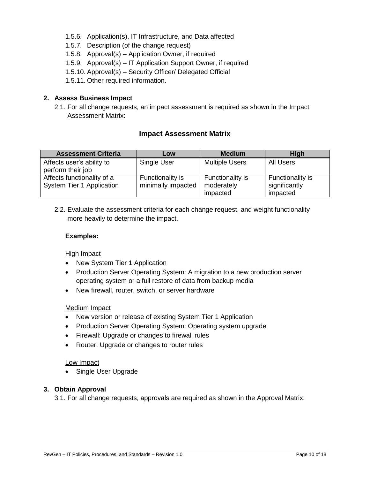- 1.5.6. Application(s), IT Infrastructure, and Data affected
- 1.5.7. Description (of the change request)
- 1.5.8. Approval(s) Application Owner, if required
- 1.5.9. Approval(s) IT Application Support Owner, if required
- 1.5.10. Approval(s) Security Officer/ Delegated Official
- 1.5.11. Other required information.

## **2. Assess Business Impact**

2.1. For all change requests, an impact assessment is required as shown in the Impact Assessment Matrix:

## **Impact Assessment Matrix**

| <b>Assessment Criteria</b>                              | Low                                    | <b>Medium</b>                              | <b>High</b>                                   |
|---------------------------------------------------------|----------------------------------------|--------------------------------------------|-----------------------------------------------|
| Affects user's ability to<br>perform their job          | Single User                            | <b>Multiple Users</b>                      | <b>All Users</b>                              |
| Affects functionality of a<br>System Tier 1 Application | Functionality is<br>minimally impacted | Functionality is<br>moderately<br>impacted | Functionality is<br>significantly<br>impacted |

2.2. Evaluate the assessment criteria for each change request, and weight functionality more heavily to determine the impact.

#### **Examples:**

## High Impact

- New System Tier 1 Application
- Production Server Operating System: A migration to a new production server operating system or a full restore of data from backup media
- New firewall, router, switch, or server hardware

## Medium Impact

- New version or release of existing System Tier 1 Application
- Production Server Operating System: Operating system upgrade
- Firewall: Upgrade or changes to firewall rules
- Router: Upgrade or changes to router rules

#### Low Impact

• Single User Upgrade

## **3. Obtain Approval**

3.1. For all change requests, approvals are required as shown in the Approval Matrix: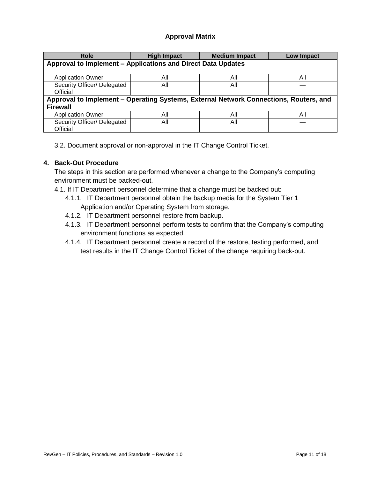# **Approval Matrix**

| <b>Role</b>                                                                           | <b>High Impact</b> | <b>Medium Impact</b> | <b>Low Impact</b> |  |  |
|---------------------------------------------------------------------------------------|--------------------|----------------------|-------------------|--|--|
| Approval to Implement - Applications and Direct Data Updates                          |                    |                      |                   |  |  |
|                                                                                       |                    |                      |                   |  |  |
| <b>Application Owner</b>                                                              | Αll                | Αll                  | Αll               |  |  |
| Security Officer/ Delegated                                                           | All                | All                  |                   |  |  |
| Official                                                                              |                    |                      |                   |  |  |
| Approval to Implement – Operating Systems, External Network Connections, Routers, and |                    |                      |                   |  |  |
| <b>Firewall</b>                                                                       |                    |                      |                   |  |  |
| <b>Application Owner</b>                                                              | All                | All                  | All               |  |  |
| Security Officer/ Delegated                                                           | All                | All                  |                   |  |  |
| Official                                                                              |                    |                      |                   |  |  |

3.2. Document approval or non-approval in the IT Change Control Ticket.

# **4. Back-Out Procedure**

The steps in this section are performed whenever a change to the Company's computing environment must be backed-out.

4.1. If IT Department personnel determine that a change must be backed out:

- 4.1.1. IT Department personnel obtain the backup media for the System Tier 1 Application and/or Operating System from storage.
- 4.1.2. IT Department personnel restore from backup.
- 4.1.3. IT Department personnel perform tests to confirm that the Company's computing environment functions as expected.
- 4.1.4. IT Department personnel create a record of the restore, testing performed, and test results in the IT Change Control Ticket of the change requiring back-out.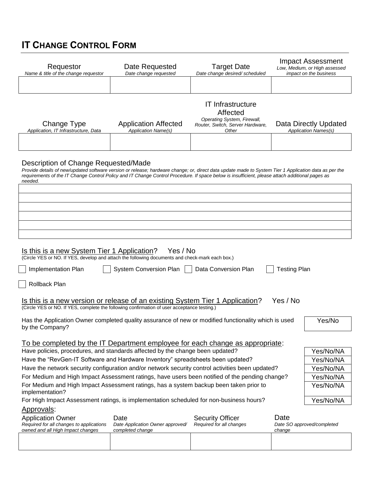# **IT CHANGE CONTROL FORM**

| Requestor<br>Name & title of the change requestor                                                                                                                                                                                                                                                                                                           | Date Requested<br>Date change requested                   | <b>Target Date</b><br>Date change desired/ scheduled                                                             |                     | Impact Assessment<br>Low, Medium, or High assessed<br>impact on the business |  |
|-------------------------------------------------------------------------------------------------------------------------------------------------------------------------------------------------------------------------------------------------------------------------------------------------------------------------------------------------------------|-----------------------------------------------------------|------------------------------------------------------------------------------------------------------------------|---------------------|------------------------------------------------------------------------------|--|
|                                                                                                                                                                                                                                                                                                                                                             |                                                           |                                                                                                                  |                     |                                                                              |  |
| Change Type<br>Application, IT Infrastructure, Data                                                                                                                                                                                                                                                                                                         | <b>Application Affected</b><br><b>Application Name(s)</b> | <b>IT Infrastructure</b><br>Affected<br>Operating System, Firewall,<br>Router, Switch, Server Hardware,<br>Other |                     | Data Directly Updated<br><b>Application Names(s)</b>                         |  |
|                                                                                                                                                                                                                                                                                                                                                             |                                                           |                                                                                                                  |                     |                                                                              |  |
|                                                                                                                                                                                                                                                                                                                                                             |                                                           |                                                                                                                  |                     |                                                                              |  |
| Description of Change Requested/Made<br>Provide details of new/updated software version or release; hardware change; or, direct data update made to System Tier 1 Application data as per the<br>requirements of the IT Change Control Policy and IT Change Control Procedure. If space below is insufficient, please attach additional pages as<br>needed. |                                                           |                                                                                                                  |                     |                                                                              |  |
|                                                                                                                                                                                                                                                                                                                                                             |                                                           |                                                                                                                  |                     |                                                                              |  |
|                                                                                                                                                                                                                                                                                                                                                             |                                                           |                                                                                                                  |                     |                                                                              |  |
|                                                                                                                                                                                                                                                                                                                                                             |                                                           |                                                                                                                  |                     |                                                                              |  |
|                                                                                                                                                                                                                                                                                                                                                             |                                                           |                                                                                                                  |                     |                                                                              |  |
|                                                                                                                                                                                                                                                                                                                                                             |                                                           |                                                                                                                  |                     |                                                                              |  |
|                                                                                                                                                                                                                                                                                                                                                             |                                                           |                                                                                                                  |                     |                                                                              |  |
| Is this is a new System Tier 1 Application?<br>(Circle YES or NO. If YES, develop and attach the following documents and check-mark each box.)                                                                                                                                                                                                              | Yes / No                                                  |                                                                                                                  |                     |                                                                              |  |
| Implementation Plan                                                                                                                                                                                                                                                                                                                                         | <b>System Conversion Plan</b>                             | Data Conversion Plan                                                                                             | <b>Testing Plan</b> |                                                                              |  |
| Rollback Plan                                                                                                                                                                                                                                                                                                                                               |                                                           |                                                                                                                  |                     |                                                                              |  |
| Yes / No<br><u>Is this is a new version or release of an existing System Tier 1 Application?</u><br>(Circle YES or NO. If YES, complete the following confirmation of user acceptance testing.)                                                                                                                                                             |                                                           |                                                                                                                  |                     |                                                                              |  |
| Has the Application Owner completed quality assurance of new or modified functionality which is used<br>by the Company?                                                                                                                                                                                                                                     |                                                           |                                                                                                                  |                     |                                                                              |  |
|                                                                                                                                                                                                                                                                                                                                                             |                                                           |                                                                                                                  |                     |                                                                              |  |
| To be completed by the IT Department employee for each change as appropriate:                                                                                                                                                                                                                                                                               |                                                           |                                                                                                                  |                     |                                                                              |  |
| Have policies, procedures, and standards affected by the change been updated?<br>Yes/No/NA                                                                                                                                                                                                                                                                  |                                                           |                                                                                                                  |                     |                                                                              |  |
| Have the "RevGen-IT Software and Hardware Inventory" spreadsheets been updated?<br>Have the network security configuration and/or network security control activities been updated?                                                                                                                                                                         |                                                           |                                                                                                                  |                     | Yes/No/NA                                                                    |  |
|                                                                                                                                                                                                                                                                                                                                                             |                                                           |                                                                                                                  |                     | Yes/No/NA                                                                    |  |
| For Medium and High Impact Assessment ratings, have users been notified of the pending change?<br>Yes/No/NA<br>For Medium and High Impact Assessment ratings, has a system backup been taken prior to<br>Yes/No/NA                                                                                                                                          |                                                           |                                                                                                                  |                     |                                                                              |  |
| implementation?                                                                                                                                                                                                                                                                                                                                             |                                                           |                                                                                                                  |                     |                                                                              |  |
| For High Impact Assessment ratings, is implementation scheduled for non-business hours?<br>Yes/No/NA                                                                                                                                                                                                                                                        |                                                           |                                                                                                                  |                     |                                                                              |  |
| Approvals:                                                                                                                                                                                                                                                                                                                                                  |                                                           |                                                                                                                  |                     |                                                                              |  |
| Date<br><b>Application Owner</b><br>Date<br><b>Security Officer</b><br>Required for all changes to applications<br>Required for all changes<br>Date Application Owner approved/<br>Date SO approved/completed<br>owned and all High Impact changes<br>completed change<br>change                                                                            |                                                           |                                                                                                                  |                     |                                                                              |  |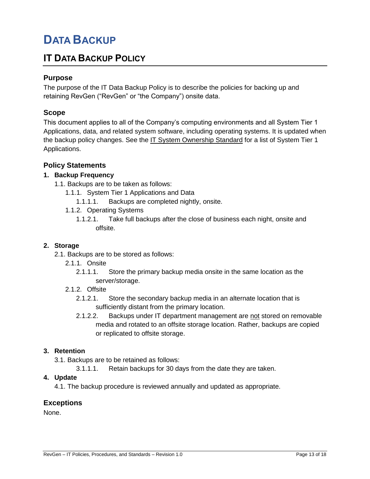# **DATA BACKUP**

# **IT DATA BACKUP POLICY**

# **Purpose**

The purpose of the IT Data Backup Policy is to describe the policies for backing up and retaining RevGen ("RevGen" or "the Company") onsite data.

# **Scope**

This document applies to all of the Company's computing environments and all System Tier 1 Applications, data, and related system software, including operating systems. It is updated when the backup policy changes. See the IT System Ownership Standard for a list of System Tier 1 Applications.

# **Policy Statements**

# **1. Backup Frequency**

- 1.1. Backups are to be taken as follows:
	- 1.1.1. System Tier 1 Applications and Data
		- 1.1.1.1. Backups are completed nightly, onsite.
	- 1.1.2. Operating Systems
		- 1.1.2.1. Take full backups after the close of business each night, onsite and offsite.

## **2. Storage**

- 2.1. Backups are to be stored as follows:
	- 2.1.1. Onsite
		- 2.1.1.1. Store the primary backup media onsite in the same location as the server/storage.
	- 2.1.2. Offsite
		- 2.1.2.1. Store the secondary backup media in an alternate location that is sufficiently distant from the primary location.
		- 2.1.2.2. Backups under IT department management are not stored on removable media and rotated to an offsite storage location. Rather, backups are copied or replicated to offsite storage.

## **3. Retention**

- 3.1. Backups are to be retained as follows:
	- 3.1.1.1. Retain backups for 30 days from the date they are taken.

## **4. Update**

4.1. The backup procedure is reviewed annually and updated as appropriate.

## **Exceptions**

<span id="page-16-0"></span>None.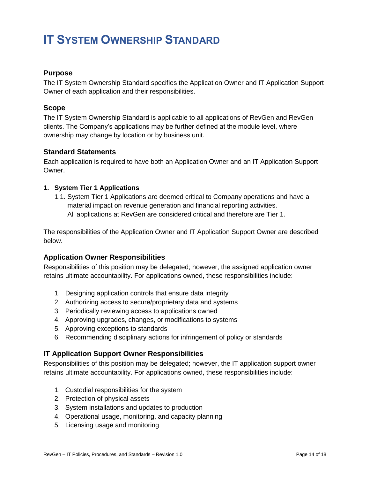# **IT SYSTEM OWNERSHIP STANDARD**

## **Purpose**

The IT System Ownership Standard specifies the Application Owner and IT Application Support Owner of each application and their responsibilities.

#### **Scope**

The IT System Ownership Standard is applicable to all applications of RevGen and RevGen clients. The Company's applications may be further defined at the module level, where ownership may change by location or by business unit.

#### **Standard Statements**

Each application is required to have both an Application Owner and an IT Application Support Owner.

#### **1. System Tier 1 Applications**

1.1. System Tier 1 Applications are deemed critical to Company operations and have a material impact on revenue generation and financial reporting activities. All applications at RevGen are considered critical and therefore are Tier 1.

The responsibilities of the Application Owner and IT Application Support Owner are described below.

## **Application Owner Responsibilities**

Responsibilities of this position may be delegated; however, the assigned application owner retains ultimate accountability. For applications owned, these responsibilities include:

- 1. Designing application controls that ensure data integrity
- 2. Authorizing access to secure/proprietary data and systems
- 3. Periodically reviewing access to applications owned
- 4. Approving upgrades, changes, or modifications to systems
- 5. Approving exceptions to standards
- 6. Recommending disciplinary actions for infringement of policy or standards

## **IT Application Support Owner Responsibilities**

Responsibilities of this position may be delegated; however, the IT application support owner retains ultimate accountability. For applications owned, these responsibilities include:

- 1. Custodial responsibilities for the system
- 2. Protection of physical assets
- 3. System installations and updates to production
- 4. Operational usage, monitoring, and capacity planning
- 5. Licensing usage and monitoring